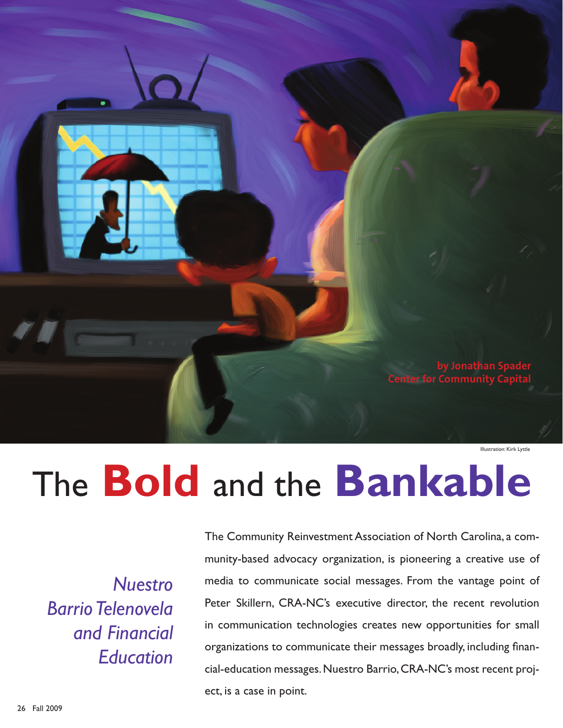

Illustration: Kirk Lyttle

# The **Bold** and the **Bankable**

*Nuestro Barrio Telenovela and Financial Education*

The Community Reinvestment Association of North Carolina, a community-based advocacy organization, is pioneering a creative use of media to communicate social messages. From the vantage point of Peter Skillern, CRA-NC's executive director, the recent revolution in communication technologies creates new opportunities for small organizations to communicate their messages broadly, including financial-education messages. Nuestro Barrio, CRA-NC's most recent project, is a case in point.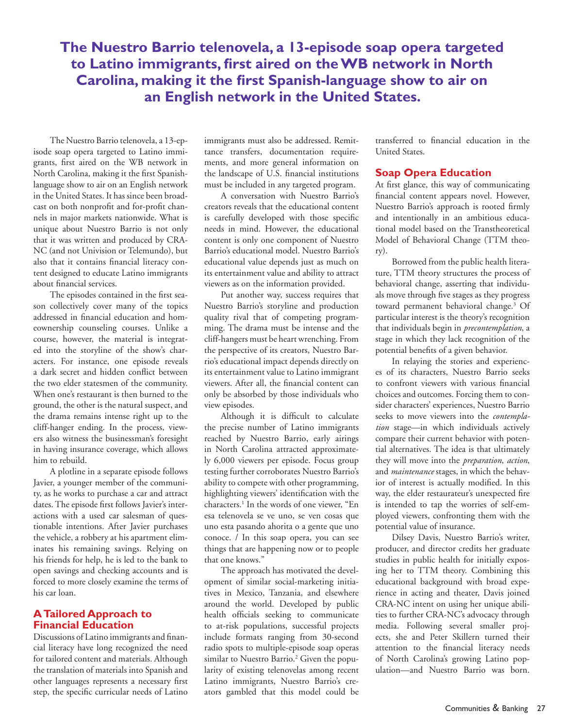## **The Nuestro Barrio telenovela, a 13-episode soap opera targeted to Latino immigrants, first aired on the WB network in North Carolina, making it the first Spanish-language show to air on an English network in the United States.**

The Nuestro Barrio telenovela, a 13-episode soap opera targeted to Latino immigrants, first aired on the WB network in North Carolina, making it the first Spanishlanguage show to air on an English network in the United States. It has since been broadcast on both nonprofit and for-profit channels in major markets nationwide. What is unique about Nuestro Barrio is not only that it was written and produced by CRA-NC (and not Univision or Telemundo), but also that it contains financial literacy content designed to educate Latino immigrants about financial services.

The episodes contained in the first season collectively cover many of the topics addressed in financial education and homeownership counseling courses. Unlike a course, however, the material is integrated into the storyline of the show's characters. For instance, one episode reveals a dark secret and hidden conflict between the two elder statesmen of the community. When one's restaurant is then burned to the ground, the other is the natural suspect, and the drama remains intense right up to the cliff-hanger ending. In the process, viewers also witness the businessman's foresight in having insurance coverage, which allows him to rebuild.

A plotline in a separate episode follows Javier, a younger member of the community, as he works to purchase a car and attract dates. The episode first follows Javier's interactions with a used car salesman of questionable intentions. After Javier purchases the vehicle, a robbery at his apartment eliminates his remaining savings. Relying on his friends for help, he is led to the bank to open savings and checking accounts and is forced to more closely examine the terms of his car loan.

#### **A Tailored Approach to Financial Education**

Discussions of Latino immigrants and financial literacy have long recognized the need for tailored content and materials. Although the translation of materials into Spanish and other languages represents a necessary first step, the specific curricular needs of Latino immigrants must also be addressed. Remittance transfers, documentation requirements, and more general information on the landscape of U.S. financial institutions must be included in any targeted program.

A conversation with Nuestro Barrio's creators reveals that the educational content is carefully developed with those specific needs in mind. However, the educational content is only one component of Nuestro Barrio's educational model. Nuestro Barrio's educational value depends just as much on its entertainment value and ability to attract viewers as on the information provided.

Put another way, success requires that Nuestro Barrio's storyline and production quality rival that of competing programming. The drama must be intense and the cliff-hangers must be heart wrenching. From the perspective of its creators, Nuestro Barrio's educational impact depends directly on its entertainment value to Latino immigrant viewers. After all, the financial content can only be absorbed by those individuals who view episodes.

Although it is difficult to calculate the precise number of Latino immigrants reached by Nuestro Barrio, early airings in North Carolina attracted approximately 6,000 viewers per episode. Focus group testing further corroborates Nuestro Barrio's ability to compete with other programming, highlighting viewers' identification with the characters.1 In the words of one viewer, "En esa telenovela se ve uno, se ven cosas que uno esta pasando ahorita o a gente que uno conoce. / In this soap opera, you can see things that are happening now or to people that one knows."

The approach has motivated the development of similar social-marketing initiatives in Mexico, Tanzania, and elsewhere around the world. Developed by public health officials seeking to communicate to at-risk populations, successful projects include formats ranging from 30-second radio spots to multiple-episode soap operas similar to Nuestro Barrio.<sup>2</sup> Given the popularity of existing telenovelas among recent Latino immigrants, Nuestro Barrio's creators gambled that this model could be transferred to financial education in the United States.

#### **Soap Opera Education**

At first glance, this way of communicating financial content appears novel. However, Nuestro Barrio's approach is rooted firmly and intentionally in an ambitious educational model based on the Transtheoretical Model of Behavioral Change (TTM theory).

Borrowed from the public health literature, TTM theory structures the process of behavioral change, asserting that individuals move through five stages as they progress toward permanent behavioral change.<sup>3</sup> Of particular interest is the theory's recognition that individuals begin in *precontemplation*, a stage in which they lack recognition of the potential benefits of a given behavior.

In relaying the stories and experiences of its characters, Nuestro Barrio seeks to confront viewers with various financial choices and outcomes. Forcing them to consider characters' experiences, Nuestro Barrio seeks to move viewers into the *contemplation* stage—in which individuals actively compare their current behavior with potential alternatives. The idea is that ultimately they will move into the *preparation*, *action*, and *maintenance* stages, in which the behavior of interest is actually modified. In this way, the elder restaurateur's unexpected fire is intended to tap the worries of self-employed viewers, confronting them with the potential value of insurance.

Dilsey Davis, Nuestro Barrio's writer, producer, and director credits her graduate studies in public health for initially exposing her to TTM theory. Combining this educational background with broad experience in acting and theater, Davis joined CRA-NC intent on using her unique abilities to further CRA-NC's advocacy through media. Following several smaller projects, she and Peter Skillern turned their attention to the financial literacy needs of North Carolina's growing Latino population—and Nuestro Barrio was born.